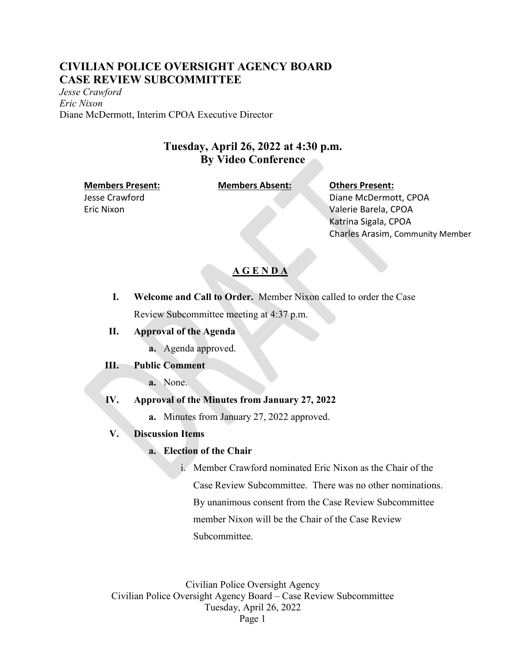## **CIVILIAN POLICE OVERSIGHT AGENCY BOARD CASE REVIEW SUBCOMMITTEE**

*Jesse Crawford Eric Nixon* Diane McDermott, Interim CPOA Executive Director

## **Tuesday, April 26, 2022 at 4:30 p.m. By Video Conference**

#### **Members Present: Members Absent: Others Present:**

Jesse Crawford Eric Nixon

Diane McDermott, CPOA Valerie Barela, CPOA Katrina Sigala, CPOA Charles Arasim, Community Member

## **A G E N D A**

- **I. Welcome and Call to Order.** Member Nixon called to order the Case Review Subcommittee meeting at 4:37 p.m.
- **II. Approval of the Agenda**
	- **a.** Agenda approved.

### **III. Public Comment**

**a.** None.

### **IV. Approval of the Minutes from January 27, 2022**

**a.** Minutes from January 27, 2022 approved.

### **V. Discussion Items**

### **a. Election of the Chair**

i. Member Crawford nominated Eric Nixon as the Chair of the Case Review Subcommittee. There was no other nominations. By unanimous consent from the Case Review Subcommittee member Nixon will be the Chair of the Case Review Subcommittee.

Civilian Police Oversight Agency Civilian Police Oversight Agency Board – Case Review Subcommittee Tuesday, April 26, 2022 Page 1